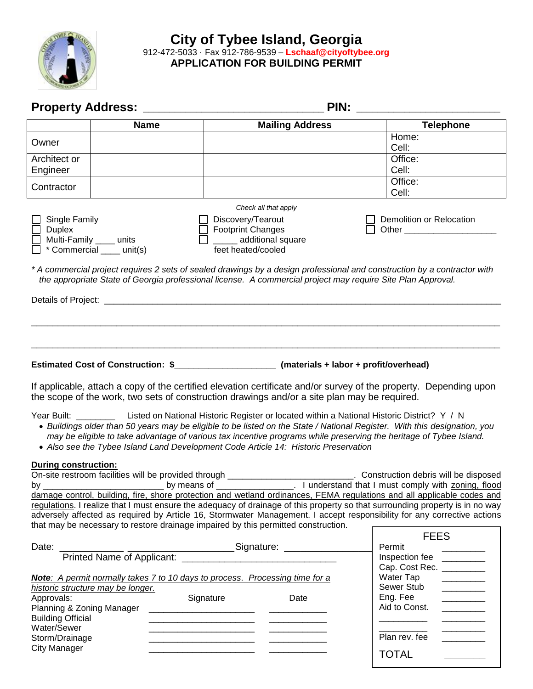

# **City of Tybee Island, Georgia** 912-472-5033 · Fax 912-786-9539 – **Lschaaf@cityoftybee.org APPLICATION FOR BUILDING PERMIT**

|                                         | <b>Name</b>                                                                                                                                                                                                                                                                                                                      |                                                                                                      | <b>Mailing Address</b> | <b>Telephone</b>                                                                                                                                                                                                                                         |
|-----------------------------------------|----------------------------------------------------------------------------------------------------------------------------------------------------------------------------------------------------------------------------------------------------------------------------------------------------------------------------------|------------------------------------------------------------------------------------------------------|------------------------|----------------------------------------------------------------------------------------------------------------------------------------------------------------------------------------------------------------------------------------------------------|
| Owner                                   |                                                                                                                                                                                                                                                                                                                                  |                                                                                                      |                        | Home:<br>Cell:                                                                                                                                                                                                                                           |
| Architect or                            |                                                                                                                                                                                                                                                                                                                                  |                                                                                                      |                        | Office:                                                                                                                                                                                                                                                  |
| Engineer                                |                                                                                                                                                                                                                                                                                                                                  |                                                                                                      |                        | Cell:                                                                                                                                                                                                                                                    |
| Contractor                              |                                                                                                                                                                                                                                                                                                                                  |                                                                                                      |                        | Office:<br>Cell:                                                                                                                                                                                                                                         |
|                                         |                                                                                                                                                                                                                                                                                                                                  | Check all that apply                                                                                 |                        |                                                                                                                                                                                                                                                          |
| Single Family<br><b>Duplex</b>          | Multi-Family ____ units<br>* Commercial ____ unit(s)                                                                                                                                                                                                                                                                             | Discovery/Tearout<br><b>Footprint Changes</b><br>______ additional square<br>П<br>feet heated/cooled |                        | Demolition or Relocation                                                                                                                                                                                                                                 |
|                                         | the appropriate State of Georgia professional license. A commercial project may require Site Plan Approval.                                                                                                                                                                                                                      |                                                                                                      |                        | * A commercial project requires 2 sets of sealed drawings by a design professional and construction by a contractor with                                                                                                                                 |
|                                         |                                                                                                                                                                                                                                                                                                                                  |                                                                                                      |                        |                                                                                                                                                                                                                                                          |
|                                         |                                                                                                                                                                                                                                                                                                                                  |                                                                                                      |                        |                                                                                                                                                                                                                                                          |
|                                         |                                                                                                                                                                                                                                                                                                                                  |                                                                                                      |                        |                                                                                                                                                                                                                                                          |
|                                         |                                                                                                                                                                                                                                                                                                                                  |                                                                                                      |                        |                                                                                                                                                                                                                                                          |
|                                         |                                                                                                                                                                                                                                                                                                                                  |                                                                                                      |                        |                                                                                                                                                                                                                                                          |
|                                         | the scope of the work, two sets of construction drawings and/or a site plan may be required.                                                                                                                                                                                                                                     |                                                                                                      |                        | If applicable, attach a copy of the certified elevation certificate and/or survey of the property. Depending upon                                                                                                                                        |
|                                         | Year Built: ____________ Listed on National Historic Register or located within a National Historic District? Y / N<br>may be eligible to take advantage of various tax incentive programs while preserving the heritage of Tybee Island.<br>• Also see the Tybee Island Land Development Code Article 14: Historic Preservation |                                                                                                      |                        | • Buildings older than 50 years may be eligible to be listed on the State / National Register. With this designation, you                                                                                                                                |
| <b>During construction:</b>             |                                                                                                                                                                                                                                                                                                                                  |                                                                                                      |                        |                                                                                                                                                                                                                                                          |
|                                         |                                                                                                                                                                                                                                                                                                                                  |                                                                                                      |                        | On-site restroom facilities will be provided through ___________________________. Construction debris will be disposed                                                                                                                                   |
| by                                      | by means of                                                                                                                                                                                                                                                                                                                      |                                                                                                      |                        | _. I understand that I must comply with zoning, flood<br>damage control, building, fire, shore protection and wetland ordinances, FEMA regulations and all applicable codes and                                                                          |
|                                         |                                                                                                                                                                                                                                                                                                                                  |                                                                                                      |                        | regulations. I realize that I must ensure the adequacy of drainage of this property so that surrounding property is in no way<br>adversely affected as required by Article 16, Stormwater Management. I accept responsibility for any corrective actions |
|                                         | that may be necessary to restore drainage impaired by this permitted construction.                                                                                                                                                                                                                                               |                                                                                                      |                        | <b>FEES</b>                                                                                                                                                                                                                                              |
|                                         |                                                                                                                                                                                                                                                                                                                                  |                                                                                                      |                        | Permit                                                                                                                                                                                                                                                   |
|                                         |                                                                                                                                                                                                                                                                                                                                  |                                                                                                      |                        | Inspection fee                                                                                                                                                                                                                                           |
|                                         |                                                                                                                                                                                                                                                                                                                                  |                                                                                                      |                        | Cap. Cost Rec. ________<br>Water Tap                                                                                                                                                                                                                     |
|                                         | Note: A permit normally takes 7 to 10 days to process. Processing time for a<br>historic structure may be longer.                                                                                                                                                                                                                |                                                                                                      |                        | Sewer Stub                                                                                                                                                                                                                                               |
| Approvals:                              |                                                                                                                                                                                                                                                                                                                                  | Signature                                                                                            | Date                   | Eng. Fee                                                                                                                                                                                                                                                 |
| Planning & Zoning Manager               |                                                                                                                                                                                                                                                                                                                                  |                                                                                                      |                        | Aid to Const.                                                                                                                                                                                                                                            |
| <b>Building Official</b><br>Water/Sewer |                                                                                                                                                                                                                                                                                                                                  |                                                                                                      |                        |                                                                                                                                                                                                                                                          |
| Storm/Drainage                          |                                                                                                                                                                                                                                                                                                                                  |                                                                                                      |                        | Plan rev. fee                                                                                                                                                                                                                                            |
| <b>City Manager</b>                     |                                                                                                                                                                                                                                                                                                                                  |                                                                                                      |                        | <b>TOTAL</b>                                                                                                                                                                                                                                             |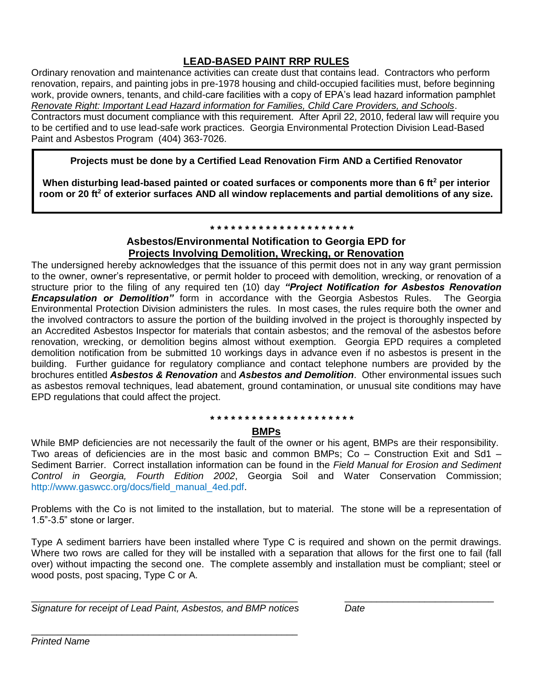# **LEAD-BASED PAINT RRP RULES**

Ordinary renovation and maintenance activities can create dust that contains lead. Contractors who perform renovation, repairs, and painting jobs in pre-1978 housing and child-occupied facilities must, before beginning work, provide owners, tenants, and child-care facilities with a copy of EPA's lead hazard information pamphlet *Renovate Right: Important Lead Hazard information for Families, Child Care Providers, and Schools*. Contractors must document compliance with this requirement. After April 22, 2010, federal law will require you to be certified and to use lead-safe work practices. Georgia Environmental Protection Division Lead-Based

Paint and Asbestos Program (404) 363-7026.

**Projects must be done by a Certified Lead Renovation Firm AND a Certified Renovator**

**When disturbing lead-based painted or coated surfaces or components more than 6 ft<sup>2</sup> per interior room or 20 ft<sup>2</sup> of exterior surfaces AND all window replacements and partial demolitions of any size.**

## **\* \* \* \* \* \* \* \* \* \* \* \* \* \* \* \* \* \* \* \* \***

# **Asbestos/Environmental Notification to Georgia EPD for Projects Involving Demolition, Wrecking, or Renovation**

The undersigned hereby acknowledges that the issuance of this permit does not in any way grant permission to the owner, owner's representative, or permit holder to proceed with demolition, wrecking, or renovation of a structure prior to the filing of any required ten (10) day *"Project Notification for Asbestos Renovation Encapsulation or Demolition"* form in accordance with the Georgia Asbestos Rules. The Georgia Environmental Protection Division administers the rules. In most cases, the rules require both the owner and the involved contractors to assure the portion of the building involved in the project is thoroughly inspected by an Accredited Asbestos Inspector for materials that contain asbestos; and the removal of the asbestos before renovation, wrecking, or demolition begins almost without exemption. Georgia EPD requires a completed demolition notification from be submitted 10 workings days in advance even if no asbestos is present in the building. Further guidance for regulatory compliance and contact telephone numbers are provided by the brochures entitled *Asbestos & Renovation* and *Asbestos and Demolition*. Other environmental issues such as asbestos removal techniques, lead abatement, ground contamination, or unusual site conditions may have EPD regulations that could affect the project.

#### **\* \* \* \* \* \* \* \* \* \* \* \* \* \* \* \* \* \* \* \* \***

# **BMPs**

While BMP deficiencies are not necessarily the fault of the owner or his agent, BMPs are their responsibility. Two areas of deficiencies are in the most basic and common BMPs;  $\tilde{C}$ o – Construction Exit and Sd1 – Sediment Barrier. Correct installation information can be found in the *Field Manual for Erosion and Sediment Control in Georgia, Fourth Edition 2002*, Georgia Soil and Water Conservation Commission; http://www.gaswcc.org/docs/field\_manual\_4ed.pdf.

Problems with the Co is not limited to the installation, but to material. The stone will be a representation of 1.5"-3.5" stone or larger.

Type A sediment barriers have been installed where Type C is required and shown on the permit drawings. Where two rows are called for they will be installed with a separation that allows for the first one to fail (fall over) without impacting the second one. The complete assembly and installation must be compliant; steel or wood posts, post spacing, Type C or A.

\_\_\_\_\_\_\_\_\_\_\_\_\_\_\_\_\_\_\_\_\_\_\_\_\_\_\_\_\_\_\_\_\_\_\_\_\_\_\_\_\_\_\_\_\_\_\_\_\_\_ \_\_\_\_\_\_\_\_\_\_\_\_\_\_\_\_\_\_\_\_\_\_\_\_\_\_\_\_

*Signature for receipt of Lead Paint, Asbestos, and BMP notices Date*

\_\_\_\_\_\_\_\_\_\_\_\_\_\_\_\_\_\_\_\_\_\_\_\_\_\_\_\_\_\_\_\_\_\_\_\_\_\_\_\_\_\_\_\_\_\_\_\_\_\_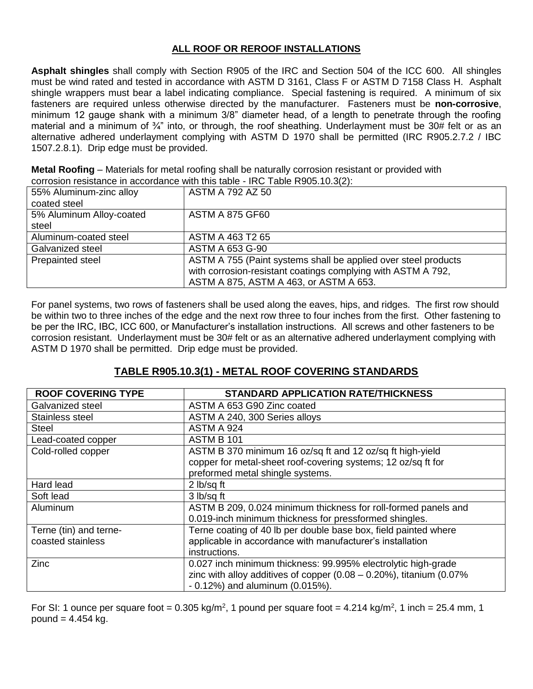# **ALL ROOF OR REROOF INSTALLATIONS**

**Asphalt shingles** shall comply with Section R905 of the IRC and Section 504 of the ICC 600. All shingles must be wind rated and tested in accordance with ASTM D 3161, Class F or ASTM D 7158 Class H. Asphalt shingle wrappers must bear a label indicating compliance. Special fastening is required. A minimum of six fasteners are required unless otherwise directed by the manufacturer. Fasteners must be **non-corrosive**, minimum 12 gauge shank with a minimum 3/8" diameter head, of a length to penetrate through the roofing material and a minimum of  $\frac{3}{4}$ " into, or through, the roof sheathing. Underlayment must be 30# felt or as an alternative adhered underlayment complying with ASTM D 1970 shall be permitted (IRC R905.2.7.2 / IBC 1507.2.8.1). Drip edge must be provided.

**Metal Roofing** – Materials for metal roofing shall be naturally corrosion resistant or provided with corrosion resistance in accordance with this table - IRC Table R905.10.3(2):

| 55% Aluminum-zinc alloy  | <b>ASTM A 792 AZ 50</b>                                        |
|--------------------------|----------------------------------------------------------------|
| coated steel             |                                                                |
| 5% Aluminum Alloy-coated | <b>ASTM A 875 GF60</b>                                         |
| steel                    |                                                                |
| Aluminum-coated steel    | ASTM A 463 T2 65                                               |
| Galvanized steel         | ASTM A 653 G-90                                                |
| Prepainted steel         | ASTM A 755 (Paint systems shall be applied over steel products |
|                          | with corrosion-resistant coatings complying with ASTM A 792,   |
|                          | ASTM A 875, ASTM A 463, or ASTM A 653.                         |

For panel systems, two rows of fasteners shall be used along the eaves, hips, and ridges. The first row should be within two to three inches of the edge and the next row three to four inches from the first. Other fastening to be per the IRC, IBC, ICC 600, or Manufacturer's installation instructions. All screws and other fasteners to be corrosion resistant. Underlayment must be 30# felt or as an alternative adhered underlayment complying with ASTM D 1970 shall be permitted. Drip edge must be provided.

# **TABLE R905.10.3(1) - METAL ROOF COVERING STANDARDS**

| <b>ROOF COVERING TYPE</b> | <b>STANDARD APPLICATION RATE/THICKNESS</b>                                  |  |  |
|---------------------------|-----------------------------------------------------------------------------|--|--|
| Galvanized steel          | ASTM A 653 G90 Zinc coated                                                  |  |  |
| Stainless steel           | ASTM A 240, 300 Series alloys                                               |  |  |
| <b>Steel</b>              | ASTM A 924                                                                  |  |  |
| Lead-coated copper        | ASTM B 101                                                                  |  |  |
| Cold-rolled copper        | ASTM B 370 minimum 16 oz/sq ft and 12 oz/sq ft high-yield                   |  |  |
|                           | copper for metal-sheet roof-covering systems; 12 oz/sq ft for               |  |  |
|                           | preformed metal shingle systems.                                            |  |  |
| Hard lead                 | 2 lb/sq ft                                                                  |  |  |
| Soft lead                 | 3 lb/sq ft                                                                  |  |  |
| Aluminum                  | ASTM B 209, 0.024 minimum thickness for roll-formed panels and              |  |  |
|                           | 0.019-inch minimum thickness for pressformed shingles.                      |  |  |
| Terne (tin) and terne-    | Terne coating of 40 lb per double base box, field painted where             |  |  |
| coasted stainless         | applicable in accordance with manufacturer's installation                   |  |  |
|                           | instructions.                                                               |  |  |
| Zinc                      | 0.027 inch minimum thickness: 99.995% electrolytic high-grade               |  |  |
|                           | zinc with alloy additives of copper $(0.08 - 0.20\%)$ , titanium $(0.07\%)$ |  |  |
|                           | $-0.12\%$ ) and aluminum (0.015%).                                          |  |  |

For SI: 1 ounce per square foot = 0.305 kg/m<sup>2</sup>, 1 pound per square foot = 4.214 kg/m<sup>2</sup>, 1 inch = 25.4 mm, 1 pound  $= 4.454$  kg.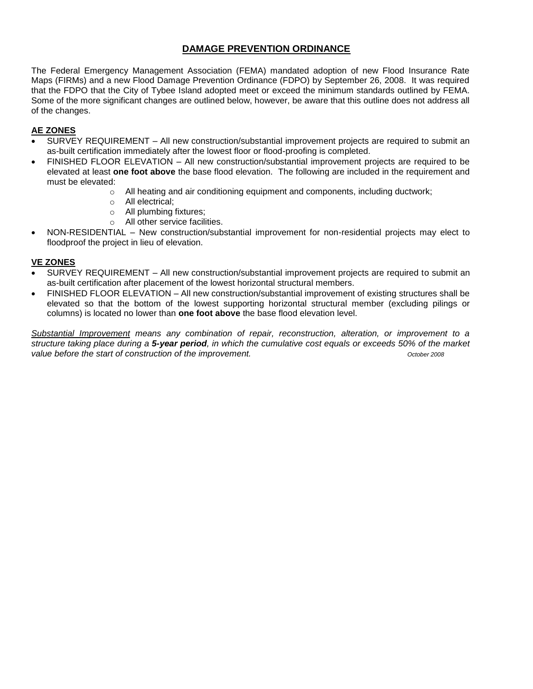# **DAMAGE PREVENTION ORDINANCE**

The Federal Emergency Management Association (FEMA) mandated adoption of new Flood Insurance Rate Maps (FIRMs) and a new Flood Damage Prevention Ordinance (FDPO) by September 26, 2008. It was required that the FDPO that the City of Tybee Island adopted meet or exceed the minimum standards outlined by FEMA. Some of the more significant changes are outlined below, however, be aware that this outline does not address all of the changes.

## **AE ZONES**

- SURVEY REQUIREMENT All new construction/substantial improvement projects are required to submit an as-built certification immediately after the lowest floor or flood-proofing is completed.
- FINISHED FLOOR ELEVATION All new construction/substantial improvement projects are required to be elevated at least **one foot above** the base flood elevation. The following are included in the requirement and must be elevated:
	- o All heating and air conditioning equipment and components, including ductwork;
	- o All electrical;
	- o All plumbing fixtures;
	- o All other service facilities.
- NON-RESIDENTIAL New construction/substantial improvement for non-residential projects may elect to floodproof the project in lieu of elevation.

## **VE ZONES**

- SURVEY REQUIREMENT All new construction/substantial improvement projects are required to submit an as-built certification after placement of the lowest horizontal structural members.
- FINISHED FLOOR ELEVATION All new construction/substantial improvement of existing structures shall be elevated so that the bottom of the lowest supporting horizontal structural member (excluding pilings or columns) is located no lower than **one foot above** the base flood elevation level.

*Substantial Improvement means any combination of repair, reconstruction, alteration, or improvement to a structure taking place during a 5-year period, in which the cumulative cost equals or exceeds 50% of the market value before the start of construction of the improvement.*  $\frac{1}{2}$   $\frac{1}{2}$   $\frac{1}{2}$   $\frac{1}{2}$   $\frac{1}{2}$   $\frac{1}{2}$   $\frac{1}{2}$   $\frac{1}{2}$   $\frac{1}{2}$   $\frac{1}{2}$   $\frac{1}{2}$   $\frac{1}{2}$   $\frac{1}{2}$   $\frac{1}{2}$   $\frac{1}{2}$   $\frac{1}{2}$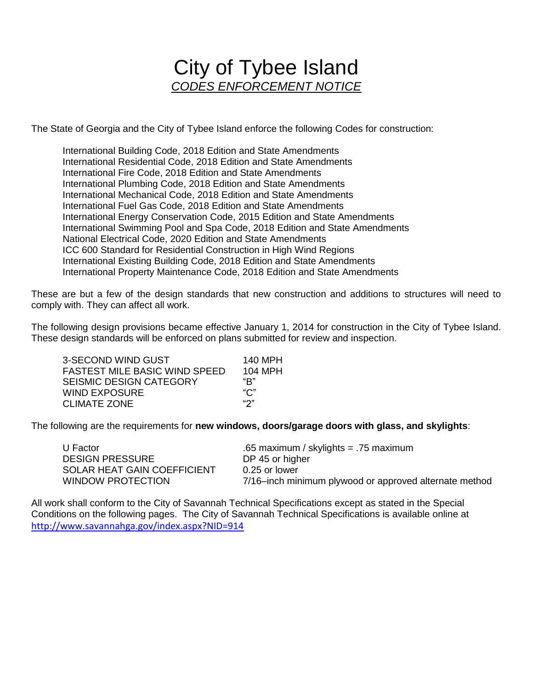# City of Tybee Island *CODES ENFORCEMENT NOTICE*

The State of Georgia and the City of Tybee Island enforce the following Codes for construction:

International Building Code, 2018 Edition and State Amendments International Residential Code, 2018 Edition and State Amendments International Fire Code, 2018 Edition and State Amendments International Plumbing Code, 2018 Edition and State Amendments International Mechanical Code, 2018 Edition and State Amendments International Fuel Gas Code, 2018 Edition and State Amendments International Energy Conservation Code, 2015 Edition and State Amendments International Swimming Pool and Spa Code, 2018 Edition and State Amendments National Electrical Code, 2020 Edition and State Amendments ICC 600 Standard for Residential Construction in High Wind Regions International Existing Building Code, 2018 Edition and State Amendments International Property Maintenance Code, 2018 Edition and State Amendments

These are but a few of the design standards that new construction and additions to structures will need to comply with. They can affect all work.

The following design provisions became effective January 1, 2014 for construction in the City of Tybee Island. These design standards will be enforced on plans submitted for review and inspection.

| 3-SECOND WIND GUST            | 140 MPH |
|-------------------------------|---------|
| FASTEST MILE BASIC WIND SPEED | 104 MPH |
| SEISMIC DESIGN CATEGORY       | "R"     |
| WIND EXPOSURE                 | "C"     |
| CLIMATE ZONE                  | "ን"     |
|                               |         |

The following are the requirements for **new windows, doors/garage doors with glass, and skylights**:

| U Factor                    | .65 maximum / skylights = .75 maximum                  |
|-----------------------------|--------------------------------------------------------|
| <b>DESIGN PRESSURE</b>      | DP 45 or higher                                        |
| SOLAR HEAT GAIN COEFFICIENT | 0.25 or lower                                          |
| <b>WINDOW PROTECTION</b>    | 7/16-inch minimum plywood or approved alternate method |

All work shall conform to the City of Savannah Technical Specifications except as stated in the Special Conditions on the following pages. The City of Savannah Technical Specifications is available online at <http://www.savannahga.gov/index.aspx?NID=914>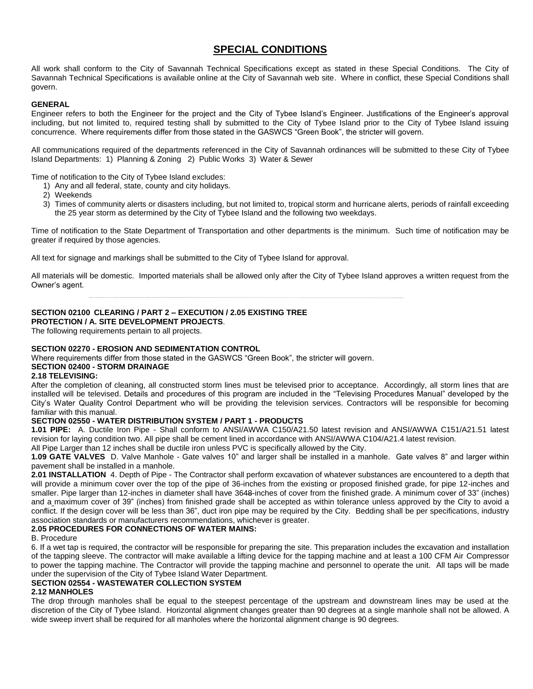# **SPECIAL CONDITIONS**

All work shall conform to the City of Savannah Technical Specifications except as stated in these Special Conditions. The City of Savannah Technical Specifications is available online at the City of Savannah web site. Where in conflict, these Special Conditions shall govern.

#### **GENERAL**

Engineer refers to both the Engineer for the project and the City of Tybee Island's Engineer. Justifications of the Engineer's approval including, but not limited to, required testing shall by submitted to the City of Tybee Island prior to the City of Tybee Island issuing concurrence. Where requirements differ from those stated in the GASWCS "Green Book", the stricter will govern.

All communications required of the departments referenced in the City of Savannah ordinances will be submitted to these City of Tybee Island Departments: 1) Planning & Zoning 2) Public Works 3) Water & Sewer

Time of notification to the City of Tybee Island excludes:

- 1) Any and all federal, state, county and city holidays.
- 2) Weekends
- 3) Times of community alerts or disasters including, but not limited to, tropical storm and hurricane alerts, periods of rainfall exceeding the 25 year storm as determined by the City of Tybee Island and the following two weekdays.

Time of notification to the State Department of Transportation and other departments is the minimum. Such time of notification may be greater if required by those agencies.

All text for signage and markings shall be submitted to the City of Tybee Island for approval.

All materials will be domestic. Imported materials shall be allowed only after the City of Tybee Island approves a written request from the Owner's agent.

#### **SECTION 02100 CLEARING / PART 2 – EXECUTION / 2.05 EXISTING TREE**

**PROTECTION / A. SITE DEVELOPMENT PROJECTS**.

The following requirements pertain to all projects.

#### **SECTION 02270 - EROSION AND SEDIMENTATION CONTROL**

Where requirements differ from those stated in the GASWCS "Green Book", the stricter will govern.

## **SECTION 02400 - STORM DRAINAGE**

#### **2.18 TELEVISING:**

After the completion of cleaning, all constructed storm lines must be televised prior to acceptance. Accordingly, all storm lines that are installed will be televised. Details and procedures of this program are included in the "Televising Procedures Manual" developed by the City's Water Quality Control Department who will be providing the television services. Contractors will be responsible for becoming familiar with this manual.

## **SECTION 02550 - WATER DISTRIBUTION SYSTEM / PART 1 - PRODUCTS**

**1.01 PIPE:** A. Ductile Iron Pipe - Shall conform to ANSI/AWWA C150/A21.50 latest revision and ANSI/AWWA C151/A21.51 latest revision for laying condition two. All pipe shall be cement lined in accordance with ANSI/AWWA C104/A21.4 latest revision.

All Pipe Larger than 12 inches shall be ductile iron unless PVC is specifically allowed by the City.

**1.09 GATE VALVES** D. Valve Manhole - Gate valves 10" and larger shall be installed in a manhole. Gate valves 8" and larger within pavement shall be installed in a manhole.

**2.01 INSTALLATION** 4. Depth of Pipe - The Contractor shall perform excavation of whatever substances are encountered to a depth that will provide a minimum cover over the top of the pipe of 36-inches from the existing or proposed finished grade, for pipe 12-inches and smaller. Pipe larger than 12-inches in diameter shall have 3648-inches of cover from the finished grade. A minimum cover of 33" (inches) and a maximum cover of 39" (inches) from finished grade shall be accepted as within tolerance unless approved by the City to avoid a conflict. If the design cover will be less than 36", duct iron pipe may be required by the City. Bedding shall be per specifications, industry association standards or manufacturers recommendations, whichever is greater.

#### **2.05 PROCEDURES FOR CONNECTIONS OF WATER MAINS:**

B. Procedure

6. If a wet tap is required, the contractor will be responsible for preparing the site. This preparation includes the excavation and installation of the tapping sleeve. The contractor will make available a lifting device for the tapping machine and at least a 100 CFM Air Compressor to power the tapping machine. The Contractor will provide the tapping machine and personnel to operate the unit. All taps will be made under the supervision of the City of Tybee Island Water Department.

#### **SECTION 02554 - WASTEWATER COLLECTION SYSTEM**

#### **2.12 MANHOLES**

The drop through manholes shall be equal to the steepest percentage of the upstream and downstream lines may be used at the discretion of the City of Tybee Island. Horizontal alignment changes greater than 90 degrees at a single manhole shall not be allowed. A wide sweep invert shall be required for all manholes where the horizontal alignment change is 90 degrees.